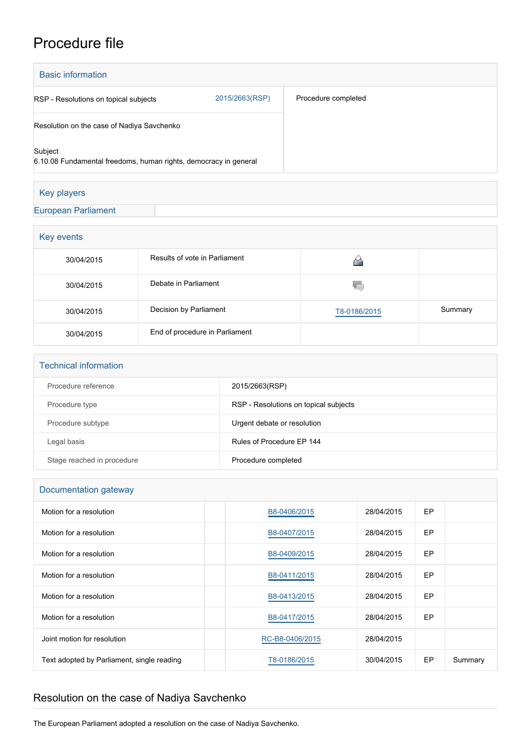## Procedure file

| <b>Basic information</b>                                                    |                |                     |  |  |
|-----------------------------------------------------------------------------|----------------|---------------------|--|--|
| RSP - Resolutions on topical subjects                                       | 2015/2663(RSP) | Procedure completed |  |  |
| Resolution on the case of Nadiya Savchenko                                  |                |                     |  |  |
| Subject<br>6.10.08 Fundamental freedoms, human rights, democracy in general |                |                     |  |  |
|                                                                             |                |                     |  |  |

| <b>Key players</b>         |  |  |
|----------------------------|--|--|
| <b>European Parliament</b> |  |  |
|                            |  |  |

| Key events |                                |              |         |
|------------|--------------------------------|--------------|---------|
| 30/04/2015 | Results of vote in Parliament  |              |         |
| 30/04/2015 | Debate in Parliament           | YΟ           |         |
| 30/04/2015 | Decision by Parliament         | T8-0186/2015 | Summary |
| 30/04/2015 | End of procedure in Parliament |              |         |

| <b>Technical information</b> |                                       |
|------------------------------|---------------------------------------|
| Procedure reference          | 2015/2663(RSP)                        |
| Procedure type               | RSP - Resolutions on topical subjects |
| Procedure subtype            | Urgent debate or resolution           |
| Legal basis                  | Rules of Procedure EP 144             |
| Stage reached in procedure   | Procedure completed                   |

## Documentation gateway

| Motion for a resolution                    | B8-0406/2015    | 28/04/2015 | EP |         |
|--------------------------------------------|-----------------|------------|----|---------|
| Motion for a resolution                    | B8-0407/2015    | 28/04/2015 | EP |         |
| Motion for a resolution                    | B8-0409/2015    | 28/04/2015 | EP |         |
| Motion for a resolution                    | B8-0411/2015    | 28/04/2015 | EP |         |
| Motion for a resolution                    | B8-0413/2015    | 28/04/2015 | EP |         |
| Motion for a resolution                    | B8-0417/2015    | 28/04/2015 | EP |         |
| Joint motion for resolution                | RC-B8-0406/2015 | 28/04/2015 |    |         |
| Text adopted by Parliament, single reading | T8-0186/2015    | 30/04/2015 | EP | Summary |

## Resolution on the case of Nadiya Savchenko

The European Parliament adopted a resolution on the case of Nadiya Savchenko.